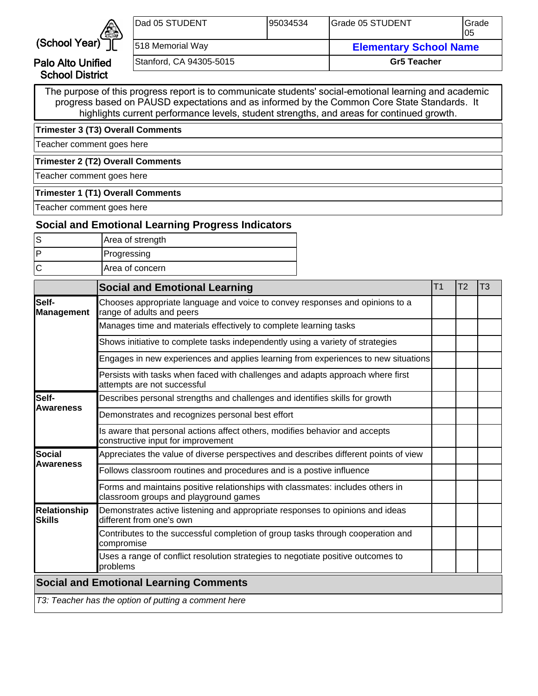

Palo Alto Unified School District

| IDad 05 STUDENT         | 195034534 | Grade 05 STUDENT              | <b>I</b> Grade<br>105 |
|-------------------------|-----------|-------------------------------|-----------------------|
| 518 Memorial Way        |           | <b>Elementary School Name</b> |                       |
| Stanford, CA 94305-5015 |           | <b>Gr5 Teacher</b>            |                       |

The purpose of this progress report is to communicate students' social-emotional learning and academic progress based on PAUSD expectations and as informed by the Common Core State Standards. It highlights current performance levels, student strengths, and areas for continued growth.

**Trimester 3 (T3) Overall Comments**

Teacher comment goes here

**Trimester 2 (T2) Overall Comments**

Teacher comment goes here

#### **Trimester 1 (T1) Overall Comments**

Teacher comment goes here

## **Social and Emotional Learning Progress Indicators**

| Area of strength       |
|------------------------|
| Progressing            |
| <b>Area of concern</b> |

|                                      | <b>Social and Emotional Learning</b>                                                                                    | T1 | T <sub>2</sub> | T <sub>3</sub> |
|--------------------------------------|-------------------------------------------------------------------------------------------------------------------------|----|----------------|----------------|
| Self-<br>Management                  | Chooses appropriate language and voice to convey responses and opinions to a<br>range of adults and peers               |    |                |                |
|                                      | Manages time and materials effectively to complete learning tasks                                                       |    |                |                |
|                                      | Shows initiative to complete tasks independently using a variety of strategies                                          |    |                |                |
|                                      | Engages in new experiences and applies learning from experiences to new situations                                      |    |                |                |
|                                      | Persists with tasks when faced with challenges and adapts approach where first<br>attempts are not successful           |    |                |                |
| lSelf-                               | Describes personal strengths and challenges and identifies skills for growth                                            |    |                |                |
| <b>Awareness</b>                     | Demonstrates and recognizes personal best effort                                                                        |    |                |                |
|                                      | Is aware that personal actions affect others, modifies behavior and accepts<br>constructive input for improvement       |    |                |                |
| lSocial                              | Appreciates the value of diverse perspectives and describes different points of view                                    |    |                |                |
| <b>Awareness</b>                     | Follows classroom routines and procedures and is a postive influence                                                    |    |                |                |
|                                      | Forms and maintains positive relationships with classmates: includes others in<br>classroom groups and playground games |    |                |                |
| <b>Relationship</b><br><b>Skills</b> | Demonstrates active listening and appropriate responses to opinions and ideas<br>different from one's own               |    |                |                |
|                                      | Contributes to the successful completion of group tasks through cooperation and<br>compromise                           |    |                |                |
|                                      | Uses a range of conflict resolution strategies to negotiate positive outcomes to<br>problems                            |    |                |                |
|                                      | <b>Social and Emotional Learning Comments</b>                                                                           |    |                |                |
|                                      | T3: Teacher has the option of putting a comment here                                                                    |    |                |                |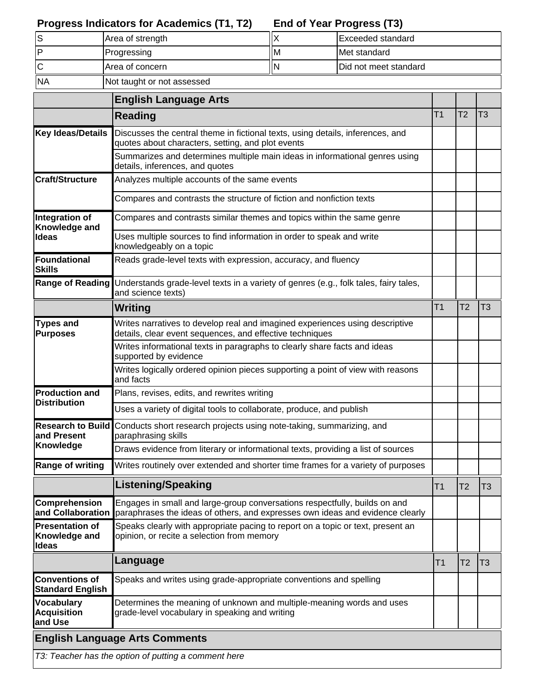### **End of Year Progress (T3) Progress Indicators for Academics (T1, T2)**

|           | Area of strength           |    | Exceeded standard             |
|-----------|----------------------------|----|-------------------------------|
|           | Progressing                | ΙM | Met standard                  |
|           | <b>Area of concern</b>     |    | <b>IDid not meet standard</b> |
| <b>NA</b> | Not taught or not assessed |    |                               |

|                                                         | <b>English Language Arts</b>                                                                                                                                |                |                |    |
|---------------------------------------------------------|-------------------------------------------------------------------------------------------------------------------------------------------------------------|----------------|----------------|----|
|                                                         | <b>Reading</b>                                                                                                                                              | T <sub>1</sub> | T <sub>2</sub> | T3 |
| <b>Key Ideas/Details</b>                                | Discusses the central theme in fictional texts, using details, inferences, and<br>quotes about characters, setting, and plot events                         |                |                |    |
|                                                         | Summarizes and determines multiple main ideas in informational genres using<br>details, inferences, and quotes                                              |                |                |    |
| <b>Craft/Structure</b>                                  | Analyzes multiple accounts of the same events                                                                                                               |                |                |    |
|                                                         | Compares and contrasts the structure of fiction and nonfiction texts                                                                                        |                |                |    |
| Integration of<br>Knowledge and                         | Compares and contrasts similar themes and topics within the same genre                                                                                      |                |                |    |
| ldeas                                                   | Uses multiple sources to find information in order to speak and write<br>knowledgeably on a topic                                                           |                |                |    |
| Foundational<br><b>Skills</b>                           | Reads grade-level texts with expression, accuracy, and fluency                                                                                              |                |                |    |
| Range of Reading                                        | Understands grade-level texts in a variety of genres (e.g., folk tales, fairy tales,<br>and science texts)                                                  |                |                |    |
|                                                         | Writing                                                                                                                                                     | T <sub>1</sub> | T <sub>2</sub> | T3 |
| <b>Types and</b><br><b>Purposes</b>                     | Writes narratives to develop real and imagined experiences using descriptive<br>details, clear event sequences, and effective techniques                    |                |                |    |
|                                                         | Writes informational texts in paragraphs to clearly share facts and ideas<br>supported by evidence                                                          |                |                |    |
|                                                         | Writes logically ordered opinion pieces supporting a point of view with reasons<br>and facts                                                                |                |                |    |
| <b>Production and</b><br><b>Distribution</b>            | Plans, revises, edits, and rewrites writing                                                                                                                 |                |                |    |
|                                                         | Uses a variety of digital tools to collaborate, produce, and publish                                                                                        |                |                |    |
| <b>Research to Build</b><br>and Present                 | Conducts short research projects using note-taking, summarizing, and<br>paraphrasing skills                                                                 |                |                |    |
| <b>Knowledge</b>                                        | Draws evidence from literary or informational texts, providing a list of sources                                                                            |                |                |    |
| <b>Range of writing</b>                                 | Writes routinely over extended and shorter time frames for a variety of purposes                                                                            |                |                |    |
|                                                         | Listening/Speaking                                                                                                                                          | T1             | T2             | 13 |
| Comprehension<br>and Collaboration                      | Engages in small and large-group conversations respectfully, builds on and<br>paraphrases the ideas of others, and expresses own ideas and evidence clearly |                |                |    |
| <b>Presentation of</b><br>Knowledge and<br><b>Ideas</b> | Speaks clearly with appropriate pacing to report on a topic or text, present an<br>opinion, or recite a selection from memory                               |                |                |    |
|                                                         | Language                                                                                                                                                    | T <sub>1</sub> | T2             | T3 |
| <b>Conventions of</b><br><b>Standard English</b>        | Speaks and writes using grade-appropriate conventions and spelling                                                                                          |                |                |    |
| <b>Vocabulary</b><br><b>Acquisition</b><br>and Use      | Determines the meaning of unknown and multiple-meaning words and uses<br>grade-level vocabulary in speaking and writing                                     |                |                |    |
|                                                         | <b>English Language Arts Comments</b>                                                                                                                       |                |                |    |
|                                                         | T3: Teacher has the option of putting a comment here                                                                                                        |                |                |    |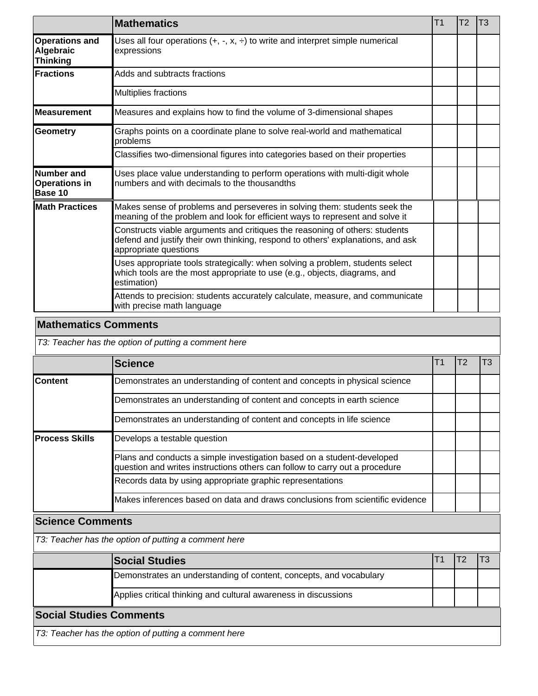|                                                       | <b>Mathematics</b>                                                                                                                                                                      | T <sub>1</sub> | T <sub>2</sub> | T <sub>3</sub> |
|-------------------------------------------------------|-----------------------------------------------------------------------------------------------------------------------------------------------------------------------------------------|----------------|----------------|----------------|
| <b>Operations and</b><br>Algebraic<br><b>Thinking</b> | Uses all four operations $(+, -, x, \div)$ to write and interpret simple numerical<br>expressions                                                                                       |                |                |                |
| Fractions                                             | Adds and subtracts fractions                                                                                                                                                            |                |                |                |
|                                                       | Multiplies fractions                                                                                                                                                                    |                |                |                |
| lMeasurement                                          | Measures and explains how to find the volume of 3-dimensional shapes                                                                                                                    |                |                |                |
| Geometry                                              | Graphs points on a coordinate plane to solve real-world and mathematical<br>problems                                                                                                    |                |                |                |
|                                                       | Classifies two-dimensional figures into categories based on their properties                                                                                                            |                |                |                |
| Number and<br><b>Operations in</b><br>Base 10         | Uses place value understanding to perform operations with multi-digit whole<br>numbers and with decimals to the thousandths                                                             |                |                |                |
| <b>Math Practices</b>                                 | Makes sense of problems and perseveres in solving them: students seek the<br>meaning of the problem and look for efficient ways to represent and solve it                               |                |                |                |
|                                                       | Constructs viable arguments and critiques the reasoning of others: students<br>defend and justify their own thinking, respond to others' explanations, and ask<br>appropriate questions |                |                |                |
|                                                       | Uses appropriate tools strategically: when solving a problem, students select<br>which tools are the most appropriate to use (e.g., objects, diagrams, and<br>estimation)               |                |                |                |
|                                                       | Attends to precision: students accurately calculate, measure, and communicate<br>with precise math language                                                                             |                |                |                |

## **Mathematics Comments**

T3: Teacher has the option of putting a comment here

|                                                      | <b>Science</b>                                                                                                                                        |  | T2 | T3 |  |
|------------------------------------------------------|-------------------------------------------------------------------------------------------------------------------------------------------------------|--|----|----|--|
| <b>Content</b>                                       | Demonstrates an understanding of content and concepts in physical science                                                                             |  |    |    |  |
|                                                      | Demonstrates an understanding of content and concepts in earth science                                                                                |  |    |    |  |
|                                                      | Demonstrates an understanding of content and concepts in life science                                                                                 |  |    |    |  |
| lProcess Skills                                      | Develops a testable question                                                                                                                          |  |    |    |  |
|                                                      | Plans and conducts a simple investigation based on a student-developed<br>question and writes instructions others can follow to carry out a procedure |  |    |    |  |
|                                                      | Records data by using appropriate graphic representations                                                                                             |  |    |    |  |
|                                                      | Makes inferences based on data and draws conclusions from scientific evidence                                                                         |  |    |    |  |
| <b>Science Comments</b>                              |                                                                                                                                                       |  |    |    |  |
| T3: Teacher has the option of putting a comment here |                                                                                                                                                       |  |    |    |  |

|                                                      | <b>Social Studies</b>                                              |  |  |  |  |  |  |
|------------------------------------------------------|--------------------------------------------------------------------|--|--|--|--|--|--|
|                                                      | Demonstrates an understanding of content, concepts, and vocabulary |  |  |  |  |  |  |
|                                                      | Applies critical thinking and cultural awareness in discussions    |  |  |  |  |  |  |
| <b>Social Studies Comments</b>                       |                                                                    |  |  |  |  |  |  |
| T3: Teacher has the option of putting a comment here |                                                                    |  |  |  |  |  |  |